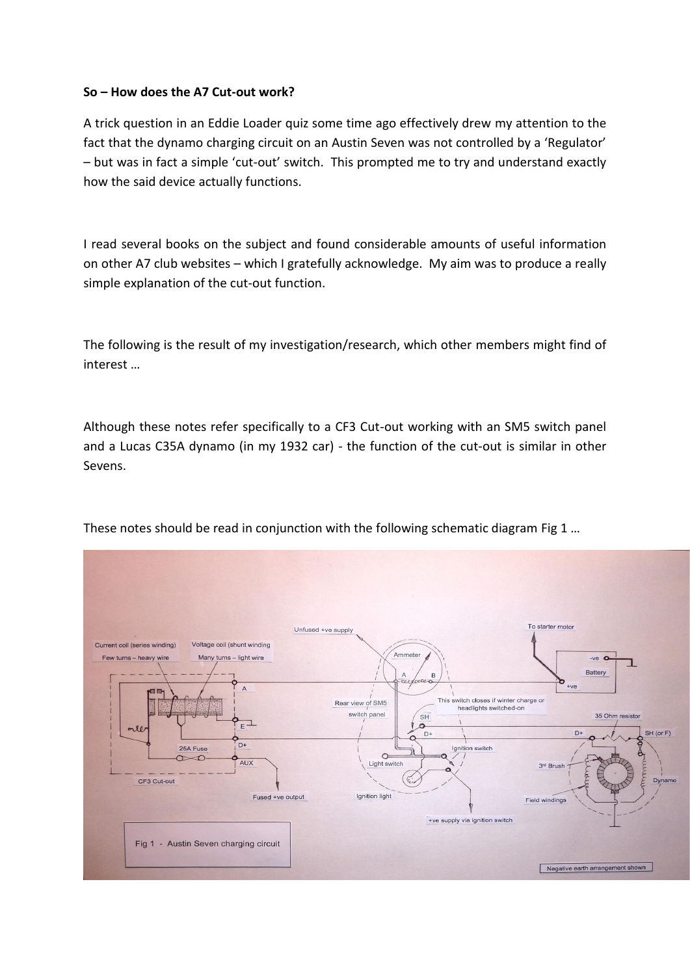## **So – How does the A7 Cut-out work?**

A trick question in an Eddie Loader quiz some time ago effectively drew my attention to the fact that the dynamo charging circuit on an Austin Seven was not controlled by a 'Regulator' – but was in fact a simple 'cut-out' switch. This prompted me to try and understand exactly how the said device actually functions.

I read several books on the subject and found considerable amounts of useful information on other A7 club websites – which I gratefully acknowledge. My aim was to produce a really simple explanation of the cut-out function.

The following is the result of my investigation/research, which other members might find of interest …

Although these notes refer specifically to a CF3 Cut-out working with an SM5 switch panel and a Lucas C35A dynamo (in my 1932 car) - the function of the cut-out is similar in other Sevens.



These notes should be read in conjunction with the following schematic diagram Fig 1 …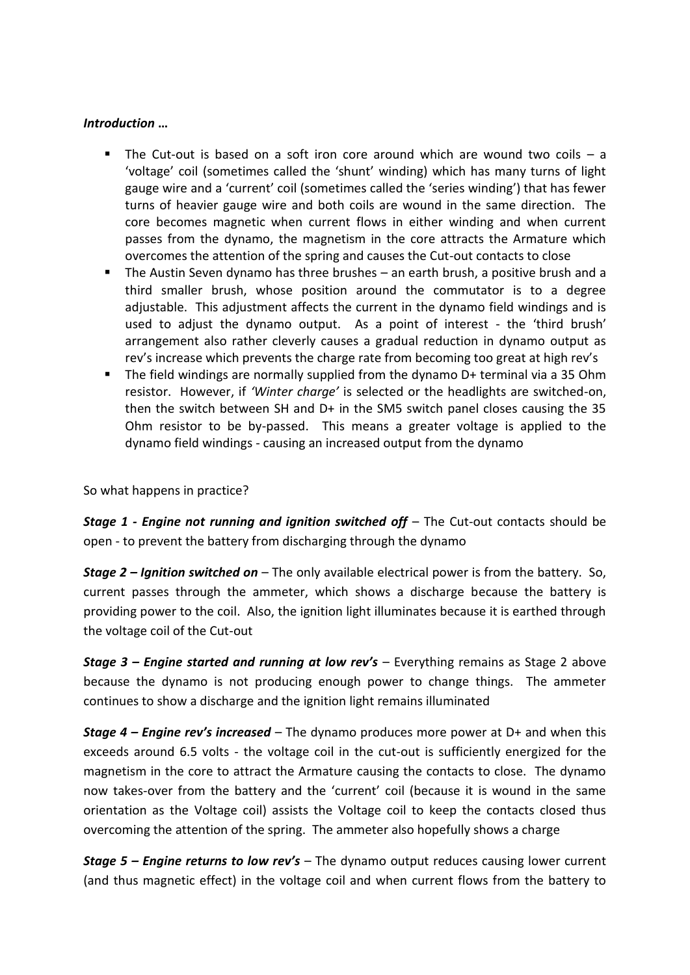## *Introduction* **…**

- The Cut-out is based on a soft iron core around which are wound two coils  $-$  a 'voltage' coil (sometimes called the 'shunt' winding) which has many turns of light gauge wire and a 'current' coil (sometimes called the 'series winding') that has fewer turns of heavier gauge wire and both coils are wound in the same direction. The core becomes magnetic when current flows in either winding and when current passes from the dynamo, the magnetism in the core attracts the Armature which overcomes the attention of the spring and causes the Cut-out contacts to close
- The Austin Seven dynamo has three brushes an earth brush, a positive brush and a third smaller brush, whose position around the commutator is to a degree adjustable. This adjustment affects the current in the dynamo field windings and is used to adjust the dynamo output. As a point of interest - the 'third brush' arrangement also rather cleverly causes a gradual reduction in dynamo output as rev's increase which prevents the charge rate from becoming too great at high rev's
- The field windings are normally supplied from the dynamo D+ terminal via a 35 Ohm resistor. However, if *'Winter charge'* is selected or the headlights are switched-on, then the switch between SH and D+ in the SM5 switch panel closes causing the 35 Ohm resistor to be by-passed. This means a greater voltage is applied to the dynamo field windings - causing an increased output from the dynamo

So what happens in practice?

*Stage 1 - Engine not running and ignition switched off* – The Cut-out contacts should be open - to prevent the battery from discharging through the dynamo

*Stage 2 – Ignition switched on* – The only available electrical power is from the battery. So, current passes through the ammeter, which shows a discharge because the battery is providing power to the coil. Also, the ignition light illuminates because it is earthed through the voltage coil of the Cut-out

*Stage 3 – Engine started and running at low rev's* – Everything remains as Stage 2 above because the dynamo is not producing enough power to change things. The ammeter continues to show a discharge and the ignition light remains illuminated

*Stage 4 – Engine rev's increased* – The dynamo produces more power at D+ and when this exceeds around 6.5 volts - the voltage coil in the cut-out is sufficiently energized for the magnetism in the core to attract the Armature causing the contacts to close. The dynamo now takes-over from the battery and the 'current' coil (because it is wound in the same orientation as the Voltage coil) assists the Voltage coil to keep the contacts closed thus overcoming the attention of the spring. The ammeter also hopefully shows a charge

*Stage 5 – Engine returns to low rev's* – The dynamo output reduces causing lower current (and thus magnetic effect) in the voltage coil and when current flows from the battery to